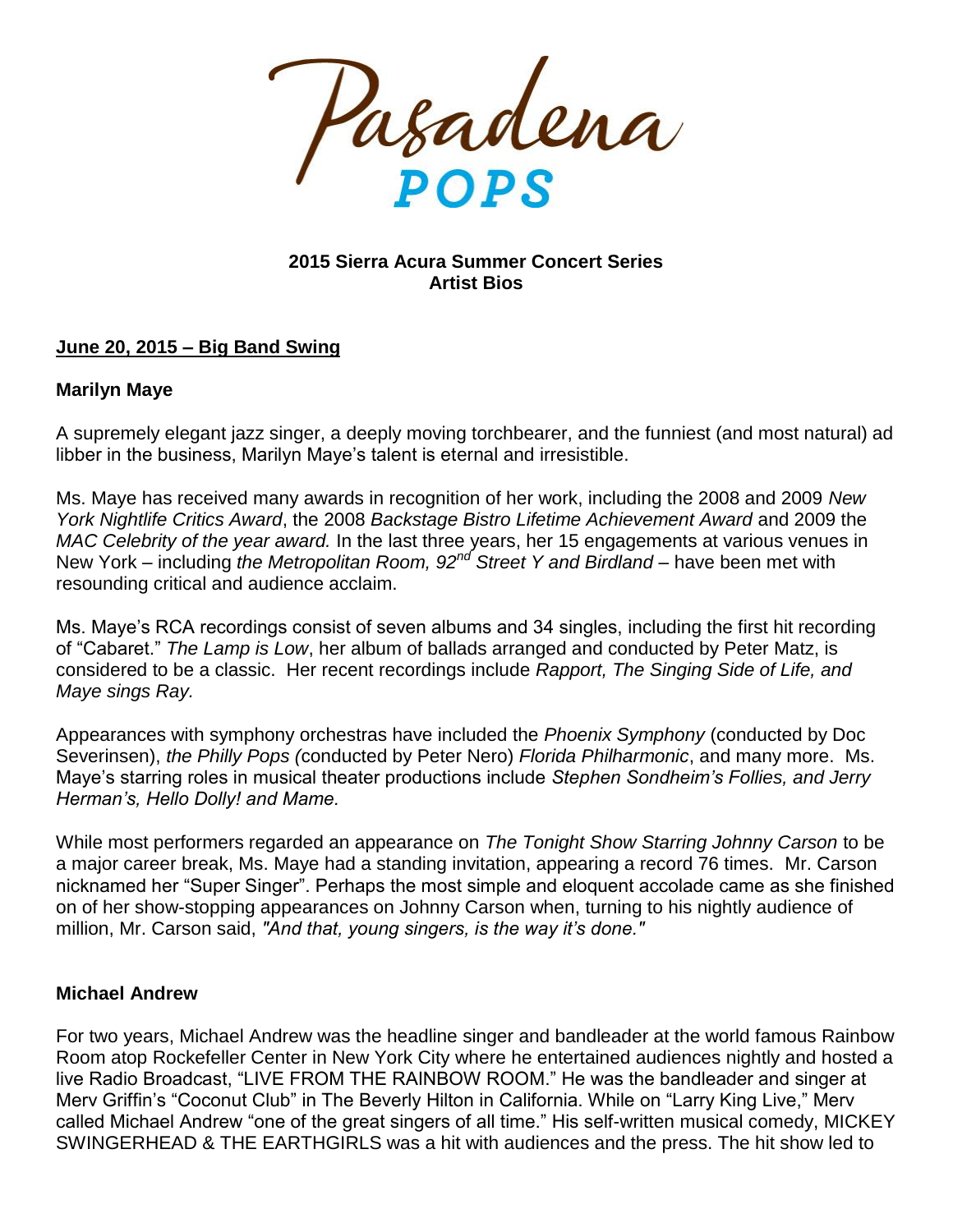

### **2015 Sierra Acura Summer Concert Series Artist Bios**

### **June 20, 2015 – Big Band Swing**

### **Marilyn Maye**

A supremely elegant jazz singer, a deeply moving torchbearer, and the funniest (and most natural) ad libber in the business, Marilyn Maye's talent is eternal and irresistible.

Ms. Maye has received many awards in recognition of her work, including the 2008 and 2009 *New York Nightlife Critics Award*, the 2008 *Backstage Bistro Lifetime Achievement Award* and 2009 the *MAC Celebrity of the year award.* In the last three years, her 15 engagements at various venues in New York – including *the Metropolitan Room, 92nd Street Y and Birdland* – have been met with resounding critical and audience acclaim.

Ms. Maye's RCA recordings consist of seven albums and 34 singles, including the first hit recording of "Cabaret." *The Lamp is Low*, her album of ballads arranged and conducted by Peter Matz, is considered to be a classic. Her recent recordings include *Rapport, The Singing Side of Life, and Maye sings Ray.*

Appearances with symphony orchestras have included the *Phoenix Symphony* (conducted by Doc Severinsen), *the Philly Pops (*conducted by Peter Nero) *Florida Philharmonic*, and many more. Ms. Maye's starring roles in musical theater productions include *Stephen Sondheim's Follies, and Jerry Herman's, Hello Dolly! and Mame.*

While most performers regarded an appearance on *The Tonight Show Starring Johnny Carson* to be a major career break, Ms. Maye had a standing invitation, appearing a record 76 times. Mr. Carson nicknamed her "Super Singer". Perhaps the most simple and eloquent accolade came as she finished on of her show-stopping appearances on Johnny Carson when, turning to his nightly audience of million, Mr. Carson said, *"And that, young singers, is the way it's done."*

### **Michael Andrew**

For two years, Michael Andrew was the headline singer and bandleader at the world famous Rainbow Room atop Rockefeller Center in New York City where he entertained audiences nightly and hosted a live Radio Broadcast, "LIVE FROM THE RAINBOW ROOM." He was the bandleader and singer at Merv Griffin's "Coconut Club" in The Beverly Hilton in California. While on "Larry King Live," Merv called Michael Andrew "one of the great singers of all time." His self-written musical comedy, MICKEY SWINGERHEAD & THE EARTHGIRLS was a hit with audiences and the press. The hit show led to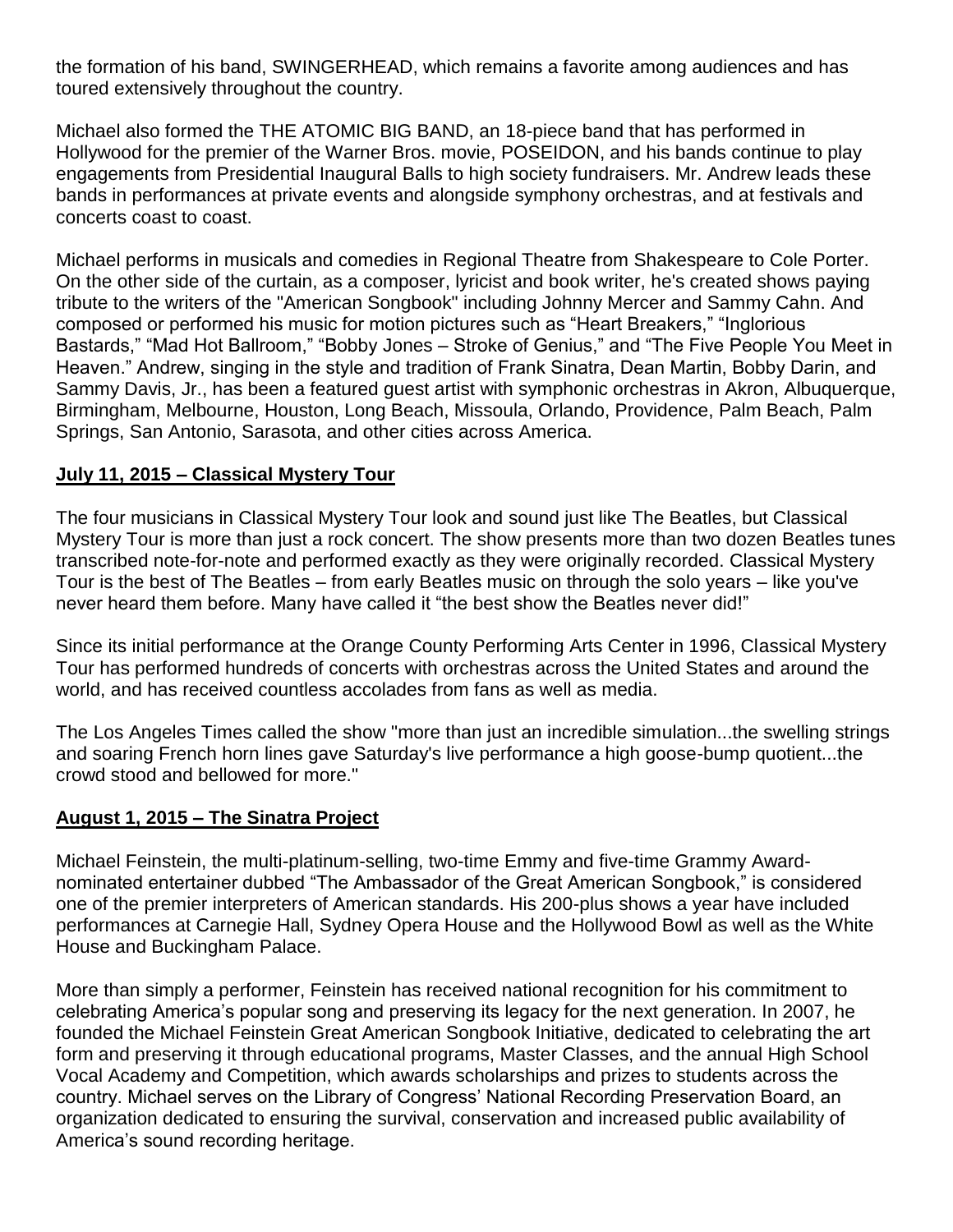the formation of his band, SWINGERHEAD, which remains a favorite among audiences and has toured extensively throughout the country.

Michael also formed the THE ATOMIC BIG BAND, an 18-piece band that has performed in Hollywood for the premier of the Warner Bros. movie, POSEIDON, and his bands continue to play engagements from Presidential Inaugural Balls to high society fundraisers. Mr. Andrew leads these bands in performances at private events and alongside symphony orchestras, and at festivals and concerts coast to coast.

Michael performs in musicals and comedies in Regional Theatre from Shakespeare to Cole Porter. On the other side of the curtain, as a composer, lyricist and book writer, he's created shows paying tribute to the writers of the "American Songbook" including Johnny Mercer and Sammy Cahn. And composed or performed his music for motion pictures such as "Heart Breakers," "Inglorious Bastards," "Mad Hot Ballroom," "Bobby Jones – Stroke of Genius," and "The Five People You Meet in Heaven." Andrew, singing in the style and tradition of Frank Sinatra, Dean Martin, Bobby Darin, and Sammy Davis, Jr., has been a featured guest artist with symphonic orchestras in Akron, Albuquerque, Birmingham, Melbourne, Houston, Long Beach, Missoula, Orlando, Providence, Palm Beach, Palm Springs, San Antonio, Sarasota, and other cities across America.

# **July 11, 2015 – Classical Mystery Tour**

The four musicians in Classical Mystery Tour look and sound just like The Beatles, but Classical Mystery Tour is more than just a rock concert. The show presents more than two dozen Beatles tunes transcribed note-for-note and performed exactly as they were originally recorded. Classical Mystery Tour is the best of The Beatles – from early Beatles music on through the solo years – like you've never heard them before. Many have called it "the best show the Beatles never did!"

Since its initial performance at the Orange County Performing Arts Center in 1996, Classical Mystery Tour has performed hundreds of concerts with orchestras across the United States and around the world, and has received countless accolades from fans as well as media.

The Los Angeles Times called the show "more than just an incredible simulation...the swelling strings and soaring French horn lines gave Saturday's live performance a high goose-bump quotient...the crowd stood and bellowed for more."

### **August 1, 2015 – The Sinatra Project**

Michael Feinstein, the multi-platinum-selling, two-time Emmy and five-time Grammy Awardnominated entertainer dubbed "The Ambassador of the Great American Songbook," is considered one of the premier interpreters of American standards. His 200-plus shows a year have included performances at Carnegie Hall, Sydney Opera House and the Hollywood Bowl as well as the White House and Buckingham Palace.

More than simply a performer, Feinstein has received national recognition for his commitment to celebrating America's popular song and preserving its legacy for the next generation. In 2007, he founded the Michael Feinstein Great American Songbook Initiative, dedicated to celebrating the art form and preserving it through educational programs, Master Classes, and the annual High School Vocal Academy and Competition, which awards scholarships and prizes to students across the country. Michael serves on the Library of Congress' National Recording Preservation Board, an organization dedicated to ensuring the survival, conservation and increased public availability of America's sound recording heritage.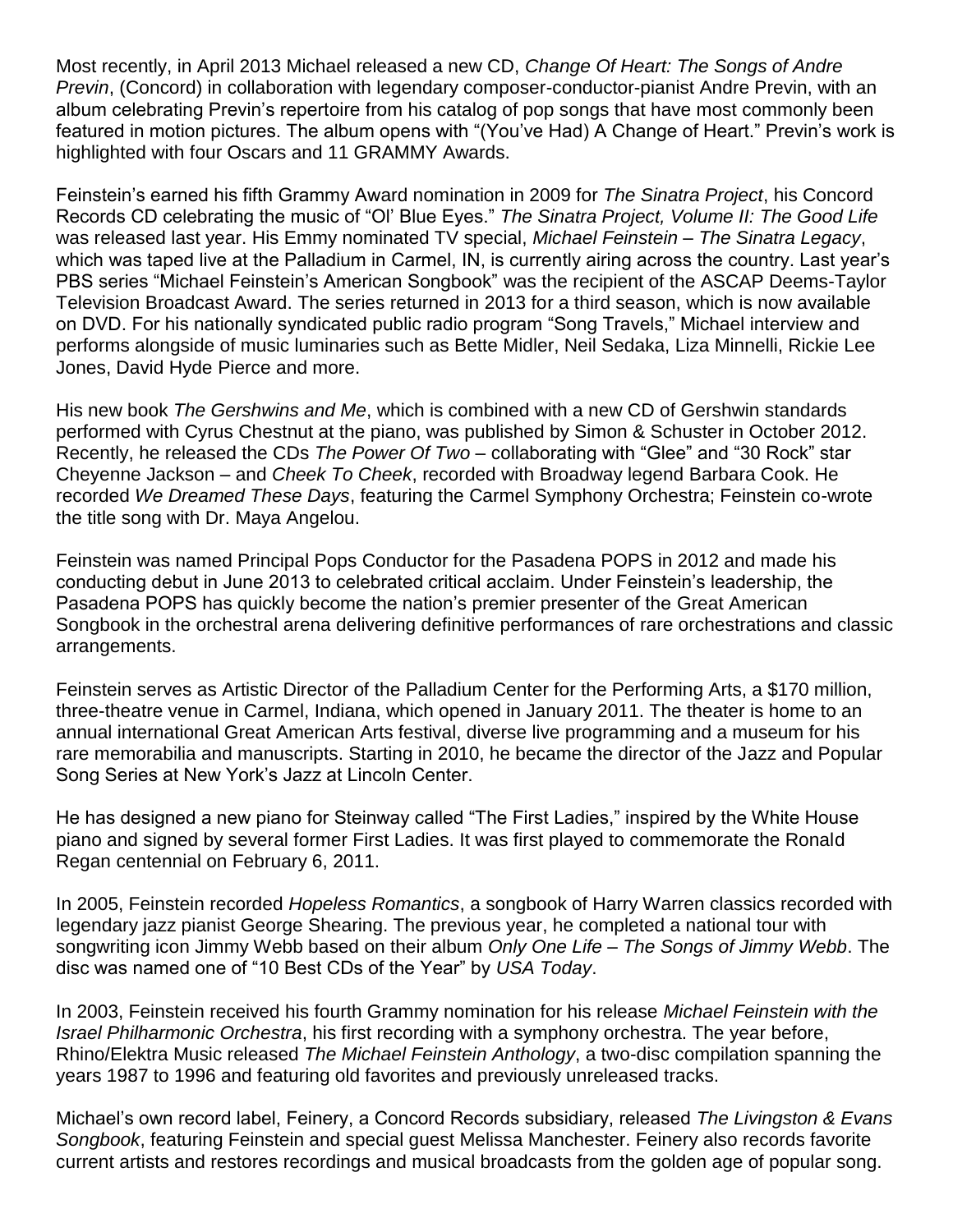Most recently, in April 2013 Michael released a new CD, *Change Of Heart: The Songs of Andre Previn*, (Concord) in collaboration with legendary composer-conductor-pianist Andre Previn, with an album celebrating Previn's repertoire from his catalog of pop songs that have most commonly been featured in motion pictures. The album opens with "(You've Had) A Change of Heart." Previn's work is highlighted with four Oscars and 11 GRAMMY Awards.

Feinstein's earned his fifth Grammy Award nomination in 2009 for *The Sinatra Project*, his Concord Records CD celebrating the music of "Ol' Blue Eyes." *The Sinatra Project, Volume II: The Good Life* was released last year. His Emmy nominated TV special, *Michael Feinstein – The Sinatra Legacy*, which was taped live at the Palladium in Carmel, IN, is currently airing across the country. Last year's PBS series "Michael Feinstein's American Songbook" was the recipient of the ASCAP Deems-Taylor Television Broadcast Award. The series returned in 2013 for a third season, which is now available on DVD. For his nationally syndicated public radio program "Song Travels," Michael interview and performs alongside of music luminaries such as Bette Midler, Neil Sedaka, Liza Minnelli, Rickie Lee Jones, David Hyde Pierce and more.

His new book *The Gershwins and Me*, which is combined with a new CD of Gershwin standards performed with Cyrus Chestnut at the piano, was published by Simon & Schuster in October 2012. Recently, he released the CDs *The Power Of Two* – collaborating with "Glee" and "30 Rock" star Cheyenne Jackson – and *Cheek To Cheek*, recorded with Broadway legend Barbara Cook. He recorded *We Dreamed These Days*, featuring the Carmel Symphony Orchestra; Feinstein co-wrote the title song with Dr. Maya Angelou.

Feinstein was named Principal Pops Conductor for the Pasadena POPS in 2012 and made his conducting debut in June 2013 to celebrated critical acclaim. Under Feinstein's leadership, the Pasadena POPS has quickly become the nation's premier presenter of the Great American Songbook in the orchestral arena delivering definitive performances of rare orchestrations and classic arrangements.

Feinstein serves as Artistic Director of the Palladium Center for the Performing Arts, a \$170 million, three-theatre venue in Carmel, Indiana, which opened in January 2011. The theater is home to an annual international Great American Arts festival, diverse live programming and a museum for his rare memorabilia and manuscripts. Starting in 2010, he became the director of the Jazz and Popular Song Series at New York's Jazz at Lincoln Center.

He has designed a new piano for Steinway called "The First Ladies," inspired by the White House piano and signed by several former First Ladies. It was first played to commemorate the Ronald Regan centennial on February 6, 2011.

In 2005, Feinstein recorded *Hopeless Romantics*, a songbook of Harry Warren classics recorded with legendary jazz pianist George Shearing. The previous year, he completed a national tour with songwriting icon Jimmy Webb based on their album *Only One Life – The Songs of Jimmy Webb*. The disc was named one of "10 Best CDs of the Year" by *USA Today*.

In 2003, Feinstein received his fourth Grammy nomination for his release *Michael Feinstein with the Israel Philharmonic Orchestra*, his first recording with a symphony orchestra. The year before, Rhino/Elektra Music released *The Michael Feinstein Anthology*, a two-disc compilation spanning the years 1987 to 1996 and featuring old favorites and previously unreleased tracks.

Michael's own record label, Feinery, a Concord Records subsidiary, released *The Livingston & Evans Songbook*, featuring Feinstein and special guest Melissa Manchester. Feinery also records favorite current artists and restores recordings and musical broadcasts from the golden age of popular song.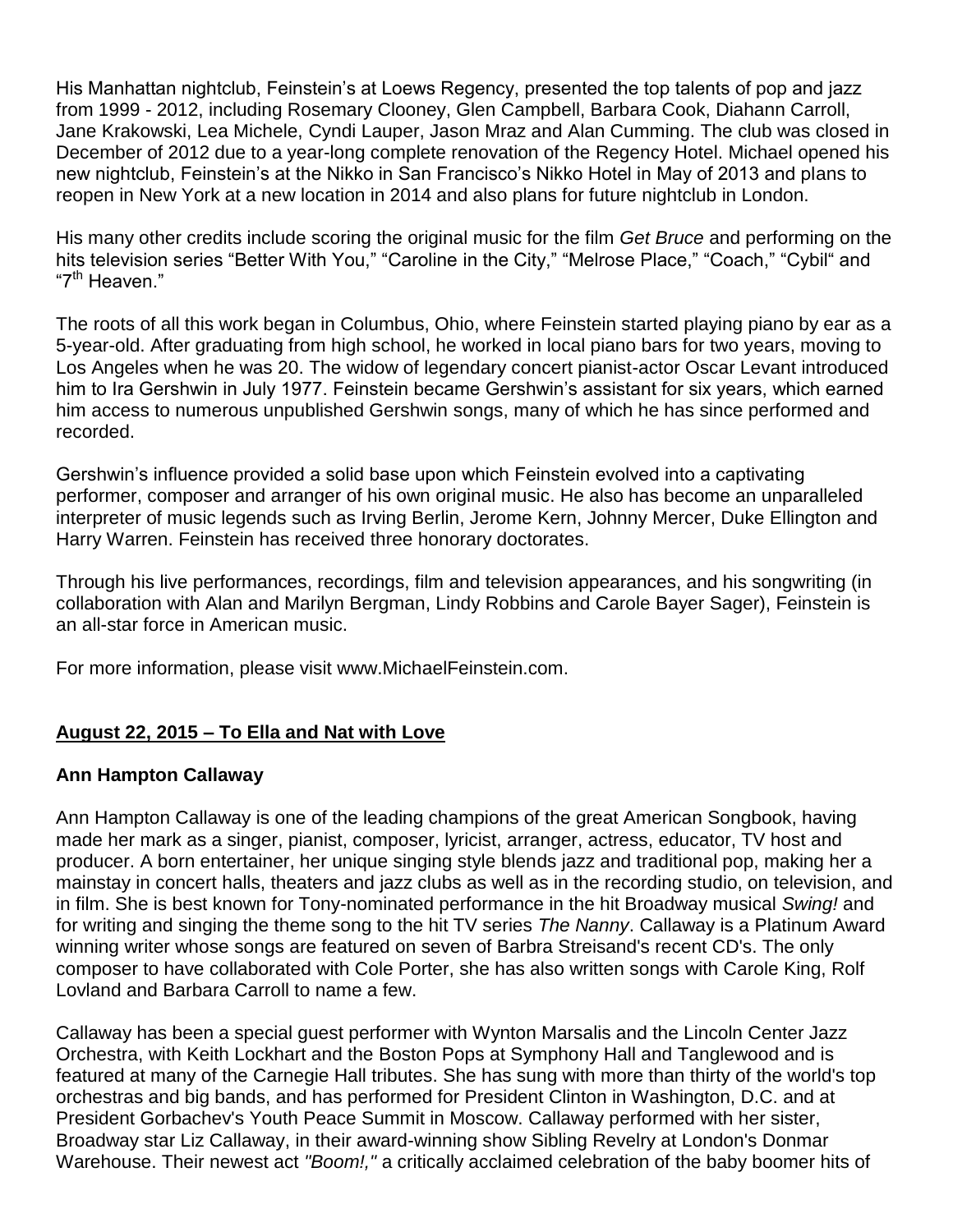His Manhattan nightclub, Feinstein's at Loews Regency, presented the top talents of pop and jazz from 1999 - 2012, including Rosemary Clooney, Glen Campbell, Barbara Cook, Diahann Carroll, Jane Krakowski, Lea Michele, Cyndi Lauper, Jason Mraz and Alan Cumming. The club was closed in December of 2012 due to a year-long complete renovation of the Regency Hotel. Michael opened his new nightclub, Feinstein's at the Nikko in San Francisco's Nikko Hotel in May of 2013 and plans to reopen in New York at a new location in 2014 and also plans for future nightclub in London.

His many other credits include scoring the original music for the film *Get Bruce* and performing on the hits television series "Better With You," "Caroline in the City," "Melrose Place," "Coach," "Cybil" and "7th Heaven."

The roots of all this work began in Columbus, Ohio, where Feinstein started playing piano by ear as a 5-year-old. After graduating from high school, he worked in local piano bars for two years, moving to Los Angeles when he was 20. The widow of legendary concert pianist-actor Oscar Levant introduced him to Ira Gershwin in July 1977. Feinstein became Gershwin's assistant for six years, which earned him access to numerous unpublished Gershwin songs, many of which he has since performed and recorded.

Gershwin's influence provided a solid base upon which Feinstein evolved into a captivating performer, composer and arranger of his own original music. He also has become an unparalleled interpreter of music legends such as Irving Berlin, Jerome Kern, Johnny Mercer, Duke Ellington and Harry Warren. Feinstein has received three honorary doctorates.

Through his live performances, recordings, film and television appearances, and his songwriting (in collaboration with Alan and Marilyn Bergman, Lindy Robbins and Carole Bayer Sager), Feinstein is an all-star force in American music.

For more information, please visit www.MichaelFeinstein.com.

# **August 22, 2015 – To Ella and Nat with Love**

### **Ann Hampton Callaway**

Ann Hampton Callaway is one of the leading champions of the great American Songbook, having made her mark as a singer, pianist, composer, lyricist, arranger, actress, educator, TV host and producer. A born entertainer, her unique singing style blends jazz and traditional pop, making her a mainstay in concert halls, theaters and jazz clubs as well as in the recording studio, on television, and in film. She is best known for Tony-nominated performance in the hit Broadway musical *Swing!* and for writing and singing the theme song to the hit TV series *The Nanny*. Callaway is a Platinum Award winning writer whose songs are featured on seven of Barbra Streisand's recent CD's. The only composer to have collaborated with Cole Porter, she has also written songs with Carole King, Rolf Lovland and Barbara Carroll to name a few.

Callaway has been a special guest performer with Wynton Marsalis and the Lincoln Center Jazz Orchestra, with Keith Lockhart and the Boston Pops at Symphony Hall and Tanglewood and is featured at many of the Carnegie Hall tributes. She has sung with more than thirty of the world's top orchestras and big bands, and has performed for President Clinton in Washington, D.C. and at President Gorbachev's Youth Peace Summit in Moscow. Callaway performed with her sister, Broadway star Liz Callaway, in their award-winning show Sibling Revelry at London's Donmar Warehouse. Their newest act *"Boom!,"* a critically acclaimed celebration of the baby boomer hits of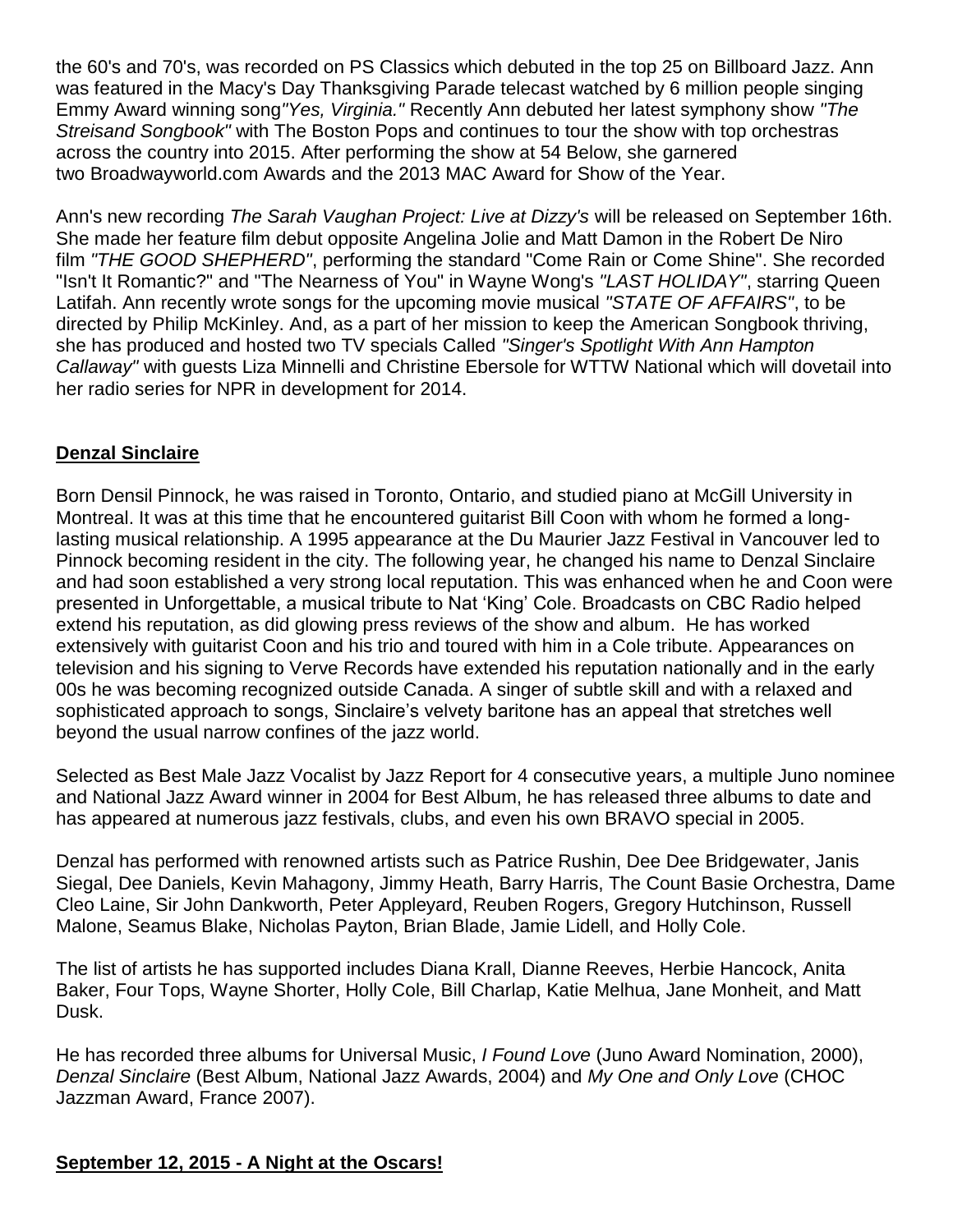the 60's and 70's, was recorded on PS Classics which debuted in the top 25 on Billboard Jazz. Ann was featured in the Macy's Day Thanksgiving Parade telecast watched by 6 million people singing Emmy Award winning song*"Yes, Virginia."* Recently Ann debuted her latest symphony show *"The Streisand Songbook"* with The Boston Pops and continues to tour the show with top orchestras across the country into 2015. After performing the show at 54 Below, she garnered two Broadwayworld.com Awards and the 2013 MAC Award for Show of the Year.

Ann's new recording *The Sarah Vaughan Project: Live at Dizzy's* will be released on September 16th. She made her feature film debut opposite Angelina Jolie and Matt Damon in the Robert De Niro film *"THE GOOD SHEPHERD"*, performing the standard "Come Rain or Come Shine". She recorded "Isn't It Romantic?" and "The Nearness of You" in Wayne Wong's *"LAST HOLIDAY"*, starring Queen Latifah. Ann recently wrote songs for the upcoming movie musical *"STATE OF AFFAIRS"*, to be directed by Philip McKinley. And, as a part of her mission to keep the American Songbook thriving, she has produced and hosted two TV specials Called *"Singer's Spotlight With Ann Hampton Callaway"* with guests Liza Minnelli and Christine Ebersole for WTTW National which will dovetail into her radio series for NPR in development for 2014.

# **Denzal Sinclaire**

Born Densil Pinnock, he was raised in Toronto, Ontario, and studied piano at McGill University in Montreal. It was at this time that he encountered guitarist Bill Coon with whom he formed a longlasting musical relationship. A 1995 appearance at the Du Maurier Jazz Festival in Vancouver led to Pinnock becoming resident in the city. The following year, he changed his name to Denzal Sinclaire and had soon established a very strong local reputation. This was enhanced when he and Coon were presented in Unforgettable, a musical tribute to Nat 'King' Cole. Broadcasts on CBC Radio helped extend his reputation, as did glowing press reviews of the show and album. He has worked extensively with guitarist Coon and his trio and toured with him in a Cole tribute. Appearances on television and his signing to Verve Records have extended his reputation nationally and in the early 00s he was becoming recognized outside Canada. A singer of subtle skill and with a relaxed and sophisticated approach to songs, Sinclaire's velvety baritone has an appeal that stretches well beyond the usual narrow confines of the jazz world.

Selected as Best Male Jazz Vocalist by Jazz Report for 4 consecutive years, a multiple Juno nominee and National Jazz Award winner in 2004 for Best Album, he has released three albums to date and has appeared at numerous jazz festivals, clubs, and even his own BRAVO special in 2005.

Denzal has performed with renowned artists such as Patrice Rushin, Dee Dee Bridgewater, Janis Siegal, Dee Daniels, Kevin Mahagony, Jimmy Heath, Barry Harris, The Count Basie Orchestra, Dame Cleo Laine, Sir John Dankworth, Peter Appleyard, Reuben Rogers, Gregory Hutchinson, Russell Malone, Seamus Blake, Nicholas Payton, Brian Blade, Jamie Lidell, and Holly Cole.

The list of artists he has supported includes Diana Krall, Dianne Reeves, Herbie Hancock, Anita Baker, Four Tops, Wayne Shorter, Holly Cole, Bill Charlap, Katie Melhua, Jane Monheit, and Matt Dusk.

He has recorded three albums for Universal Music, *I Found Love* (Juno Award Nomination, 2000), *Denzal Sinclaire* (Best Album, National Jazz Awards, 2004) and *My One and Only Love* (CHOC Jazzman Award, France 2007).

# **September 12, 2015 - A Night at the Oscars!**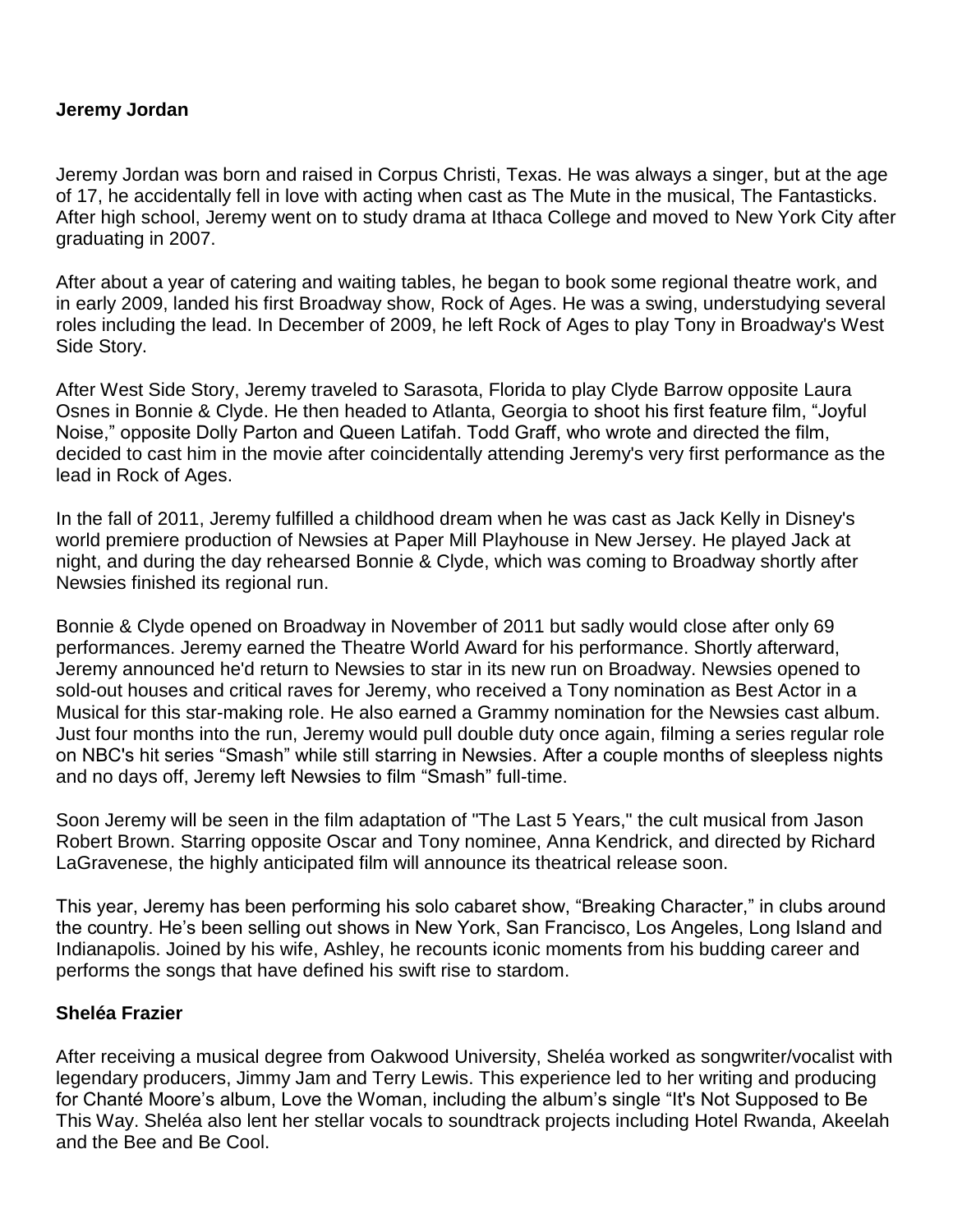### **Jeremy Jordan**

Jeremy Jordan was born and raised in Corpus Christi, Texas. He was always a singer, but at the age of 17, he accidentally fell in love with acting when cast as The Mute in the musical, The Fantasticks. After high school, Jeremy went on to study drama at Ithaca College and moved to New York City after graduating in 2007.

After about a year of catering and waiting tables, he began to book some regional theatre work, and in early 2009, landed his first Broadway show, Rock of Ages. He was a swing, understudying several roles including the lead. In December of 2009, he left Rock of Ages to play Tony in Broadway's West Side Story.

After West Side Story, Jeremy traveled to Sarasota, Florida to play Clyde Barrow opposite Laura Osnes in Bonnie & Clyde. He then headed to Atlanta, Georgia to shoot his first feature film, "Joyful Noise," opposite Dolly Parton and Queen Latifah. Todd Graff, who wrote and directed the film, decided to cast him in the movie after coincidentally attending Jeremy's very first performance as the lead in Rock of Ages.

In the fall of 2011, Jeremy fulfilled a childhood dream when he was cast as Jack Kelly in Disney's world premiere production of Newsies at Paper Mill Playhouse in New Jersey. He played Jack at night, and during the day rehearsed Bonnie & Clyde, which was coming to Broadway shortly after Newsies finished its regional run.

Bonnie & Clyde opened on Broadway in November of 2011 but sadly would close after only 69 performances. Jeremy earned the Theatre World Award for his performance. Shortly afterward, Jeremy announced he'd return to Newsies to star in its new run on Broadway. Newsies opened to sold-out houses and critical raves for Jeremy, who received a Tony nomination as Best Actor in a Musical for this star-making role. He also earned a Grammy nomination for the Newsies cast album. Just four months into the run, Jeremy would pull double duty once again, filming a series regular role on NBC's hit series "Smash" while still starring in Newsies. After a couple months of sleepless nights and no days off, Jeremy left Newsies to film "Smash" full-time.

Soon Jeremy will be seen in the film adaptation of "The Last 5 Years," the cult musical from Jason Robert Brown. Starring opposite Oscar and Tony nominee, Anna Kendrick, and directed by Richard LaGravenese, the highly anticipated film will announce its theatrical release soon.

This year, Jeremy has been performing his solo cabaret show, "Breaking Character," in clubs around the country. He's been selling out shows in New York, San Francisco, Los Angeles, Long Island and Indianapolis. Joined by his wife, Ashley, he recounts iconic moments from his budding career and performs the songs that have defined his swift rise to stardom.

### **Sheléa Frazier**

After receiving a musical degree from Oakwood University, Sheléa worked as songwriter/vocalist with legendary producers, Jimmy Jam and Terry Lewis. This experience led to her writing and producing for Chanté Moore's album, Love the Woman, including the album's single "It's Not Supposed to Be This Way. Sheléa also lent her stellar vocals to soundtrack projects including Hotel Rwanda, Akeelah and the Bee and Be Cool.